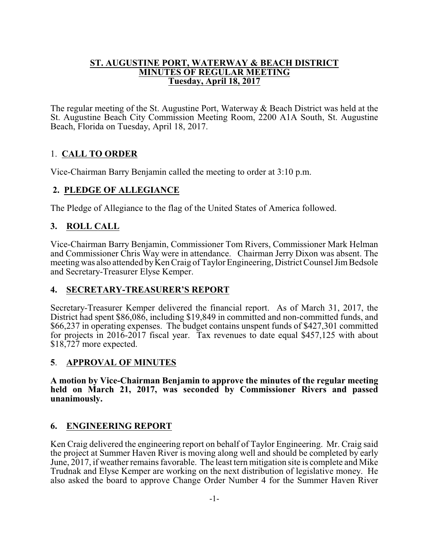#### **ST. AUGUSTINE PORT, WATERWAY & BEACH DISTRICT MINUTES OF REGULAR MEETING Tuesday, April 18, 2017**

The regular meeting of the St. Augustine Port, Waterway & Beach District was held at the St. Augustine Beach City Commission Meeting Room, 2200 A1A South, St. Augustine Beach, Florida on Tuesday, April 18, 2017.

# 1. **CALL TO ORDER**

Vice-Chairman Barry Benjamin called the meeting to order at 3:10 p.m.

# **2. PLEDGE OF ALLEGIANCE**

The Pledge of Allegiance to the flag of the United States of America followed.

# **3. ROLL CALL**

Vice-Chairman Barry Benjamin, Commissioner Tom Rivers, Commissioner Mark Helman and Commissioner Chris Way were in attendance. Chairman Jerry Dixon was absent. The meeting was also attended by Ken Craig of Taylor Engineering, District Counsel Jim Bedsole and Secretary-Treasurer Elyse Kemper.

# **4. SECRETARY-TREASURER'S REPORT**

Secretary-Treasurer Kemper delivered the financial report. As of March 31, 2017, the District had spent \$86,086, including \$19,849 in committed and non-committed funds, and \$66,237 in operating expenses. The budget contains unspent funds of \$427,301 committed for projects in 2016-2017 fiscal year. Tax revenues to date equal \$457,125 with about \$18,727 more expected.

### **5**. **APPROVAL OF MINUTES**

**A motion by Vice-Chairman Benjamin to approve the minutes of the regular meeting held on March 21, 2017, was seconded by Commissioner Rivers and passed unanimously.**

### **6. ENGINEERING REPORT**

Ken Craig delivered the engineering report on behalf of Taylor Engineering. Mr. Craig said the project at Summer Haven River is moving along well and should be completed by early June, 2017, if weather remains favorable. The least tern mitigation site is complete and Mike Trudnak and Elyse Kemper are working on the next distribution of legislative money. He also asked the board to approve Change Order Number 4 for the Summer Haven River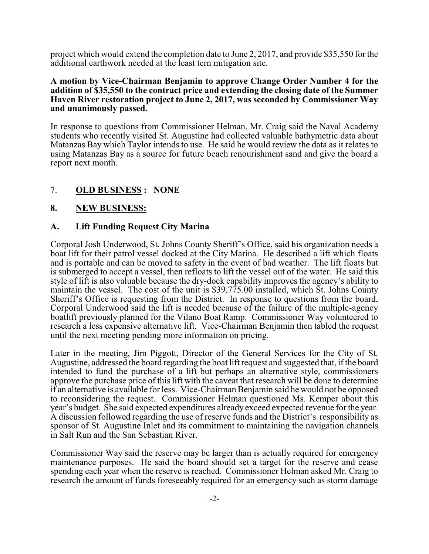project which would extend the completion date to June 2, 2017, and provide \$35,550 for the additional earthwork needed at the least tern mitigation site.

#### **A motion by Vice-Chairman Benjamin to approve Change Order Number 4 for the addition of \$35,550 to the contract price and extending the closing date of the Summer Haven River restoration project to June 2, 2017, was seconded by Commissioner Way and unanimously passed.**

In response to questions from Commissioner Helman, Mr. Craig said the Naval Academy students who recently visited St. Augustine had collected valuable bathymetric data about Matanzas Bay which Taylor intends to use. He said he would review the data as it relates to using Matanzas Bay as a source for future beach renourishment sand and give the board a report next month.

#### 7. **OLD BUSINESS : NONE**

#### **8. NEW BUSINESS:**

#### **A. Lift Funding Request City Marina**

Corporal Josh Underwood, St. Johns County Sheriff's Office, said his organization needs a boat lift for their patrol vessel docked at the City Marina. He described a lift which floats and is portable and can be moved to safety in the event of bad weather. The lift floats but is submerged to accept a vessel, then refloats to lift the vessel out of the water. He said this style of lift is also valuable because the dry-dock capability improves the agency's ability to maintain the vessel. The cost of the unit is \$39,775.00 installed, which St. Johns County Sheriff's Office is requesting from the District. In response to questions from the board, Corporal Underwood said the lift is needed because of the failure of the multiple-agency boatlift previously planned for the Vilano Boat Ramp. Commissioner Way volunteered to research a less expensive alternative lift. Vice-Chairman Benjamin then tabled the request until the next meeting pending more information on pricing.

Later in the meeting, Jim Piggott, Director of the General Services for the City of St. Augustine, addressed the board regarding the boat lift request and suggested that, if the board intended to fund the purchase of a lift but perhaps an alternative style, commissioners approve the purchase price of this lift with the caveat that research will be done to determine if an alternative is available for less. Vice-Chairman Benjamin said he would not be opposed to reconsidering the request. Commissioner Helman questioned Ms. Kemper about this year's budget. She said expected expenditures already exceed expected revenue for the year. A discussion followed regarding the use of reserve funds and the District's responsibility as sponsor of St. Augustine Inlet and its commitment to maintaining the navigation channels in Salt Run and the San Sebastian River.

Commissioner Way said the reserve may be larger than is actually required for emergency maintenance purposes. He said the board should set a target for the reserve and cease spending each year when the reserve is reached. Commissioner Helman asked Mr. Craig to research the amount of funds foreseeably required for an emergency such as storm damage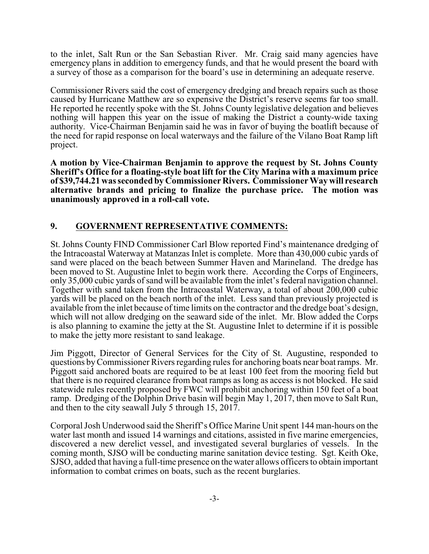to the inlet, Salt Run or the San Sebastian River. Mr. Craig said many agencies have emergency plans in addition to emergency funds, and that he would present the board with a survey of those as a comparison for the board's use in determining an adequate reserve.

Commissioner Rivers said the cost of emergency dredging and breach repairs such as those caused by Hurricane Matthew are so expensive the District's reserve seems far too small. He reported he recently spoke with the St. Johns County legislative delegation and believes nothing will happen this year on the issue of making the District a county-wide taxing authority. Vice-Chairman Benjamin said he was in favor of buying the boatlift because of the need for rapid response on local waterways and the failure of the Vilano Boat Ramp lift project.

**A motion by Vice-Chairman Benjamin to approve the request by St. Johns County Sheriff's Office for a floating-style boat lift for the City Marina with a maximum price of \$39,744.21 was seconded by Commissioner Rivers. Commissioner Way will research alternative brands and pricing to finalize the purchase price. The motion was unanimously approved in a roll-call vote.**

### **9. GOVERNMENT REPRESENTATIVE COMMENTS:**

St. Johns County FIND Commissioner Carl Blow reported Find's maintenance dredging of the Intracoastal Waterway at Matanzas Inlet is complete. More than 430,000 cubic yards of sand were placed on the beach between Summer Haven and Marineland. The dredge has been moved to St. Augustine Inlet to begin work there. According the Corps of Engineers, only 35,000 cubic yards ofsand will be available from the inlet's federal navigation channel. Together with sand taken from the Intracoastal Waterway, a total of about 200,000 cubic yards will be placed on the beach north of the inlet. Less sand than previously projected is available from the inlet because of time limits on the contractor and the dredge boat's design, which will not allow dredging on the seaward side of the inlet. Mr. Blow added the Corps is also planning to examine the jetty at the St. Augustine Inlet to determine if it is possible to make the jetty more resistant to sand leakage.

Jim Piggott, Director of General Services for the City of St. Augustine, responded to questions byCommissioner Rivers regarding rules for anchoring boats near boat ramps. Mr. Piggott said anchored boats are required to be at least 100 feet from the mooring field but that there is no required clearance from boat ramps as long as access is not blocked. He said statewide rules recently proposed by FWC will prohibit anchoring within 150 feet of a boat ramp. Dredging of the Dolphin Drive basin will begin May 1, 2017, then move to Salt Run, and then to the city seawall July 5 through 15, 2017.

Corporal Josh Underwood said the Sheriff's Office Marine Unit spent 144 man-hours on the water last month and issued 14 warnings and citations, assisted in five marine emergencies, discovered a new derelict vessel, and investigated several burglaries of vessels. In the coming month, SJSO will be conducting marine sanitation device testing. Sgt. Keith Oke, SJSO, added that having a full-time presence on the water allows officers to obtain important information to combat crimes on boats, such as the recent burglaries.